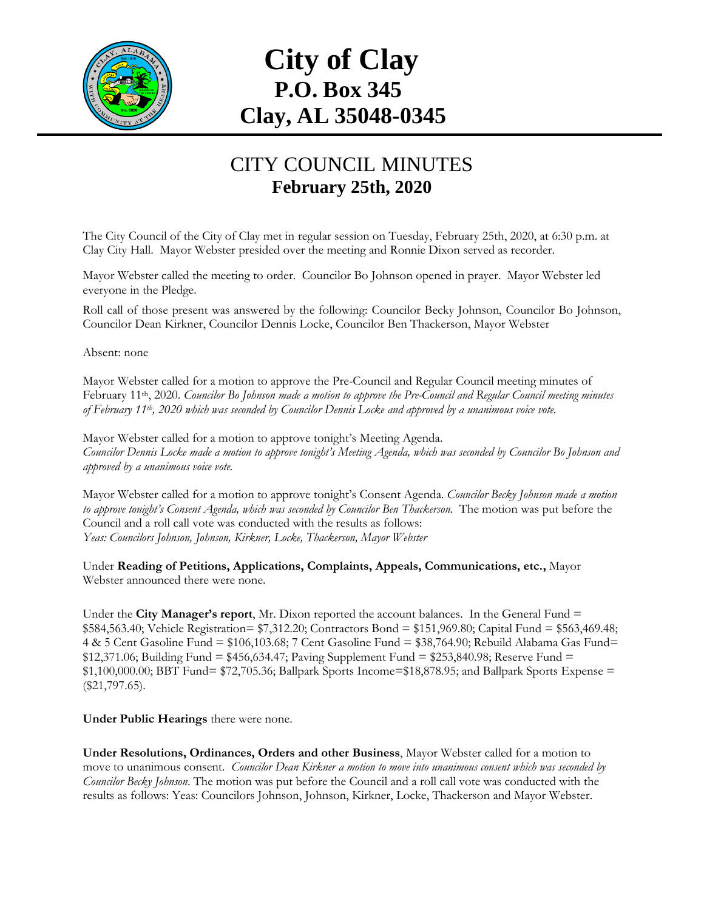

## **City of Clay P.O. Box 345 Clay, AL 35048-0345**

## CITY COUNCIL MINUTES **February 25th, 2020**

The City Council of the City of Clay met in regular session on Tuesday, February 25th, 2020, at 6:30 p.m. at Clay City Hall. Mayor Webster presided over the meeting and Ronnie Dixon served as recorder.

Mayor Webster called the meeting to order. Councilor Bo Johnson opened in prayer. Mayor Webster led everyone in the Pledge.

Roll call of those present was answered by the following: Councilor Becky Johnson, Councilor Bo Johnson, Councilor Dean Kirkner, Councilor Dennis Locke, Councilor Ben Thackerson, Mayor Webster

Absent: none

Mayor Webster called for a motion to approve the Pre-Council and Regular Council meeting minutes of February 11th, 2020. *Councilor Bo Johnson made a motion to approve the Pre-Council and Regular Council meeting minutes of February 11th, 2020 which was seconded by Councilor Dennis Locke and approved by a unanimous voice vote.*

Mayor Webster called for a motion to approve tonight's Meeting Agenda. *Councilor Dennis Locke made a motion to approve tonight's Meeting Agenda, which was seconded by Councilor Bo Johnson and approved by a unanimous voice vote.*

Mayor Webster called for a motion to approve tonight's Consent Agenda. *Councilor Becky Johnson made a motion to approve tonight's Consent Agenda, which was seconded by Councilor Ben Thackerson.* The motion was put before the Council and a roll call vote was conducted with the results as follows: *Yeas: Councilors Johnson, Johnson, Kirkner, Locke, Thackerson, Mayor Webster*

Under **Reading of Petitions, Applications, Complaints, Appeals, Communications, etc.,** Mayor Webster announced there were none.

Under the **City Manager's report**, Mr. Dixon reported the account balances. In the General Fund = \$584,563.40; Vehicle Registration= \$7,312.20; Contractors Bond = \$151,969.80; Capital Fund = \$563,469.48; 4 & 5 Cent Gasoline Fund = \$106,103.68; 7 Cent Gasoline Fund = \$38,764.90; Rebuild Alabama Gas Fund=  $$12,371.06$ ; Building Fund = \$456,634.47; Paving Supplement Fund = \$253,840.98; Reserve Fund = \$1,100,000.00; BBT Fund= \$72,705.36; Ballpark Sports Income=\$18,878.95; and Ballpark Sports Expense = (\$21,797.65).

**Under Public Hearings** there were none.

**Under Resolutions, Ordinances, Orders and other Business**, Mayor Webster called for a motion to move to unanimous consent. *Councilor Dean Kirkner a motion to move into unanimous consent which was seconded by Councilor Becky Johnson*. The motion was put before the Council and a roll call vote was conducted with the results as follows: Yeas: Councilors Johnson, Johnson, Kirkner, Locke, Thackerson and Mayor Webster.